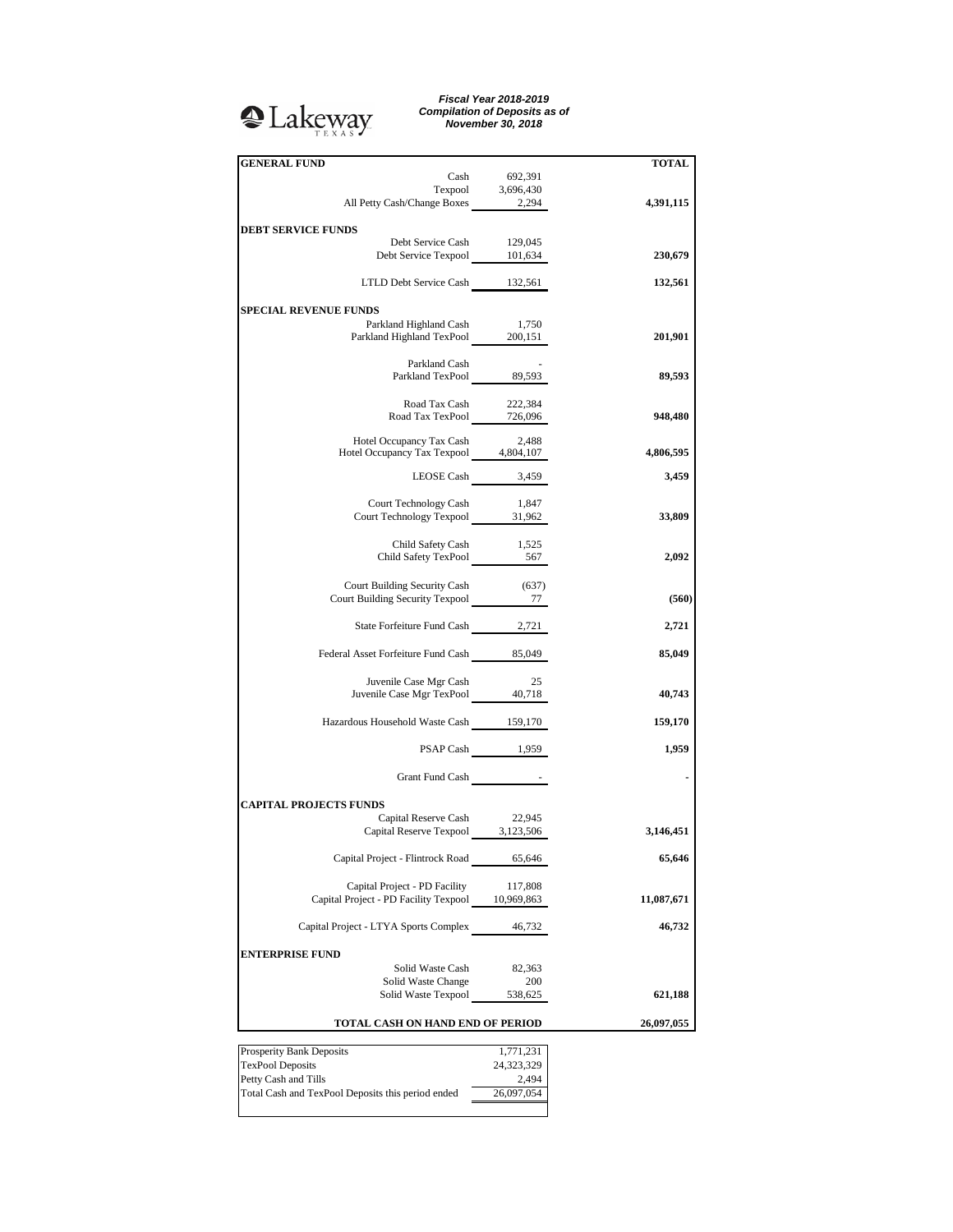## <sup>2</sup>Lakeway

*Fiscal Year 2018-2019 Compilation of Deposits as of November 30, 2018*

| <b>GENERAL FUND</b>                                        |                     |              |
|------------------------------------------------------------|---------------------|--------------|
|                                                            |                     | <b>TOTAL</b> |
| Cash                                                       | 692,391             |              |
|                                                            | Texpool $3,696,430$ |              |
| All Petty Cash/Change Boxes 2,294                          |                     | 4,391,115    |
| <b>DEBT SERVICE FUNDS</b>                                  |                     |              |
|                                                            |                     |              |
| Debt Service Cash                                          | 129,045             | 230,679      |
| Debt Service Texpool 101,634                               |                     |              |
|                                                            |                     |              |
| LTLD Debt Service Cash 132,561                             |                     | 132,561      |
|                                                            |                     |              |
| <b>SPECIAL REVENUE FUNDS</b>                               |                     |              |
| Parkland Highland Cash                                     | 1,750               |              |
| Parkland Highland TexPool 200,151                          |                     | 201,901      |
|                                                            |                     |              |
| Parkland Cash                                              |                     |              |
| Parkland TexPool 89,593                                    |                     | 89,593       |
|                                                            |                     |              |
| Road Tax Cash                                              | 222,384             |              |
| Road Tax Cash 222,584<br>Road Tax TexPool 726,096          |                     | 948,480      |
|                                                            |                     |              |
| Hotel Occupancy Tax Cash                                   | 2,488               |              |
| Hotel Occupancy Tax Texpool 4,804,107                      |                     | 4,806,595    |
|                                                            |                     |              |
| LEOSE Cash 3,459                                           |                     | 3,459        |
|                                                            |                     |              |
| Court Technology Cash                                      | 1,847               |              |
| Court Technology Texpool 31,962                            |                     | 33,809       |
|                                                            |                     |              |
| Child Safety Cash                                          | 1,525               |              |
| Child Safety TexPool 1,525                                 |                     | 2,092        |
|                                                            |                     |              |
| Court Building Security Cash                               | (637)               |              |
| Court Building Security Texpool 77                         |                     | (560)        |
|                                                            |                     |              |
| State Forfeiture Fund Cash 2,721                           |                     | 2,721        |
|                                                            |                     |              |
| Federal Asset Forfeiture Fund Cash 85,049                  |                     | 85,049       |
|                                                            |                     |              |
|                                                            | 25                  |              |
| Juvenile Case Mgr Cash<br>Juvenile Case Mgr TexPool 40,718 |                     |              |
|                                                            |                     | 40,743       |
|                                                            |                     |              |
| Hazardous Household Waste Cash 159,170                     |                     | 159,170      |
|                                                            |                     |              |
|                                                            | PSAP Cash 1,959     | 1,959        |
|                                                            |                     |              |
| Grant Fund Cash                                            |                     |              |
|                                                            |                     |              |
| <b>CAPITAL PROJECTS FUNDS</b>                              |                     |              |
| Capital Reserve Cash 22,945                                |                     |              |
| Capital Reserve Texpool 3,123,506                          |                     | 3,146,451    |
|                                                            |                     |              |
| Capital Project - Flintrock Road                           | 65,646              | 65,646       |
|                                                            |                     |              |
| Capital Project - PD Facility                              | 117,808             |              |
| Capital Project - PD Facility Texpool 10,969,863           |                     | 11,087,671   |
|                                                            |                     |              |
|                                                            |                     |              |
| Capital Project - LTYA Sports Complex                      | 46,732              | 46,732       |
|                                                            |                     |              |
| <b>ENTERPRISE FUND</b>                                     |                     |              |
| Solid Waste Cash                                           | 82,363              |              |
| Solid Waste Change                                         | 200                 |              |
| Solid Waste Texpool                                        | 538,625             | 621,188      |
|                                                            |                     |              |
| TOTAL CASH ON HAND END OF PERIOD                           |                     | 26,097,055   |
|                                                            |                     |              |
|                                                            |                     |              |
| Prosperity Bank Deposits                                   | 1,771,231           |              |
| <b>TexPool Deposits</b>                                    | 24,323,329          |              |

Total Cash and TexPool Deposits this period ended 26,097,054